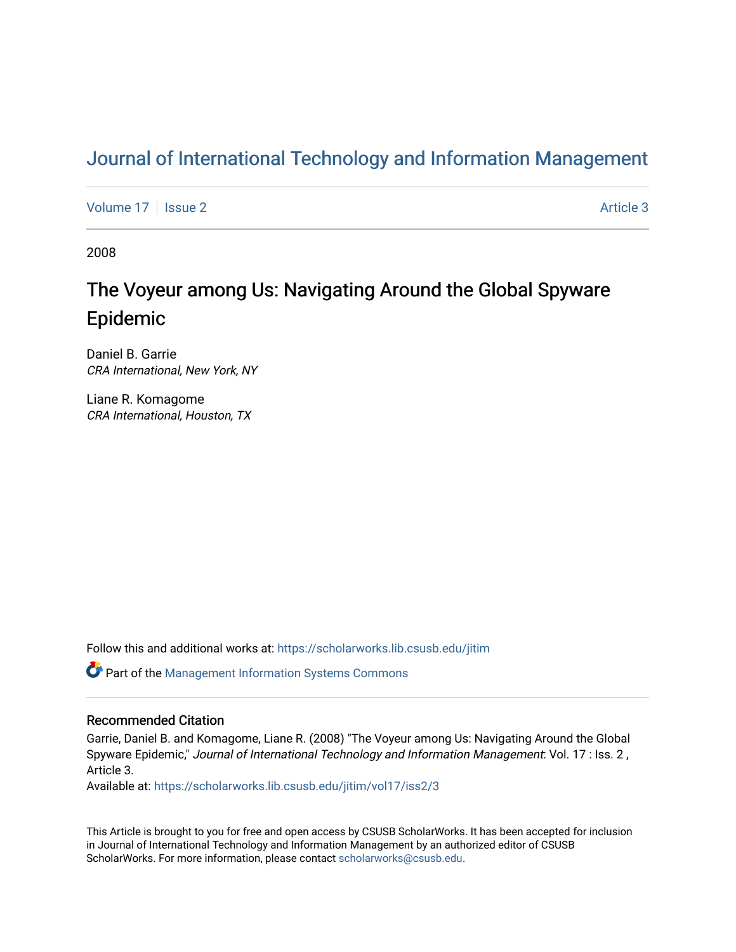# [Journal of International Technology and Information Management](https://scholarworks.lib.csusb.edu/jitim)

[Volume 17](https://scholarworks.lib.csusb.edu/jitim/vol17) | [Issue 2](https://scholarworks.lib.csusb.edu/jitim/vol17/iss2) Article 3

2008

# The Voyeur among Us: Navigating Around the Global Spyware Epidemic

Daniel B. Garrie CRA International, New York, NY

Liane R. Komagome CRA International, Houston, TX

Follow this and additional works at: [https://scholarworks.lib.csusb.edu/jitim](https://scholarworks.lib.csusb.edu/jitim?utm_source=scholarworks.lib.csusb.edu%2Fjitim%2Fvol17%2Fiss2%2F3&utm_medium=PDF&utm_campaign=PDFCoverPages) 

Part of the [Management Information Systems Commons](http://network.bepress.com/hgg/discipline/636?utm_source=scholarworks.lib.csusb.edu%2Fjitim%2Fvol17%2Fiss2%2F3&utm_medium=PDF&utm_campaign=PDFCoverPages) 

#### Recommended Citation

Garrie, Daniel B. and Komagome, Liane R. (2008) "The Voyeur among Us: Navigating Around the Global Spyware Epidemic," Journal of International Technology and Information Management: Vol. 17 : Iss. 2 , Article 3.

Available at: [https://scholarworks.lib.csusb.edu/jitim/vol17/iss2/3](https://scholarworks.lib.csusb.edu/jitim/vol17/iss2/3?utm_source=scholarworks.lib.csusb.edu%2Fjitim%2Fvol17%2Fiss2%2F3&utm_medium=PDF&utm_campaign=PDFCoverPages) 

This Article is brought to you for free and open access by CSUSB ScholarWorks. It has been accepted for inclusion in Journal of International Technology and Information Management by an authorized editor of CSUSB ScholarWorks. For more information, please contact [scholarworks@csusb.edu.](mailto:scholarworks@csusb.edu)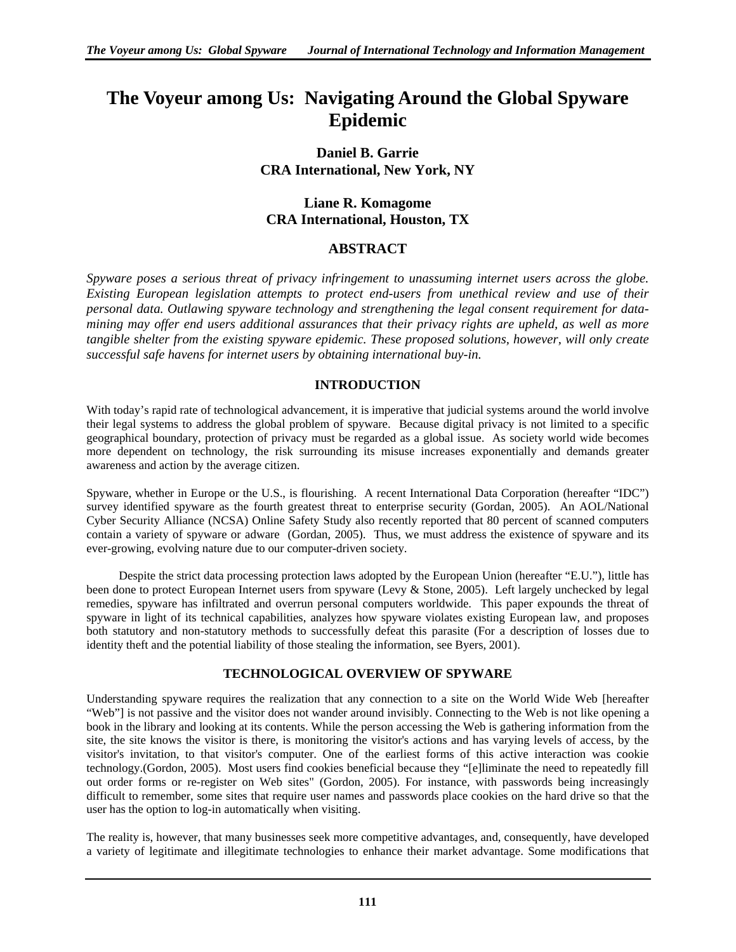# **The Voyeur among Us: Navigating Around the Global Spyware Epidemic**

# **Daniel B. Garrie CRA International, New York, NY**

# **Liane R. Komagome CRA International, Houston, TX**

# **ABSTRACT**

*Spyware poses a serious threat of privacy infringement to unassuming internet users across the globe. Existing European legislation attempts to protect end-users from unethical review and use of their personal data. Outlawing spyware technology and strengthening the legal consent requirement for datamining may offer end users additional assurances that their privacy rights are upheld, as well as more tangible shelter from the existing spyware epidemic. These proposed solutions, however, will only create successful safe havens for internet users by obtaining international buy-in.* 

#### **INTRODUCTION**

With today's rapid rate of technological advancement, it is imperative that judicial systems around the world involve their legal systems to address the global problem of spyware. Because digital privacy is not limited to a specific geographical boundary, protection of privacy must be regarded as a global issue. As society world wide becomes more dependent on technology, the risk surrounding its misuse increases exponentially and demands greater awareness and action by the average citizen.

Spyware, whether in Europe or the U.S., is flourishing. A recent International Data Corporation (hereafter "IDC") survey identified spyware as the fourth greatest threat to enterprise security (Gordan, 2005). An AOL/National Cyber Security Alliance (NCSA) Online Safety Study also recently reported that 80 percent of scanned computers contain a variety of spyware or adware (Gordan, 2005). Thus, we must address the existence of spyware and its ever-growing, evolving nature due to our computer-driven society.

Despite the strict data processing protection laws adopted by the European Union (hereafter "E.U."), little has been done to protect European Internet users from spyware (Levy & Stone, 2005). Left largely unchecked by legal remedies, spyware has infiltrated and overrun personal computers worldwide. This paper expounds the threat of spyware in light of its technical capabilities, analyzes how spyware violates existing European law, and proposes both statutory and non-statutory methods to successfully defeat this parasite (For a description of losses due to identity theft and the potential liability of those stealing the information, see Byers, 2001).

## **TECHNOLOGICAL OVERVIEW OF SPYWARE**

Understanding spyware requires the realization that any connection to a site on the World Wide Web [hereafter "Web"] is not passive and the visitor does not wander around invisibly. Connecting to the Web is not like opening a book in the library and looking at its contents. While the person accessing the Web is gathering information from the site, the site knows the visitor is there, is monitoring the visitor's actions and has varying levels of access, by the visitor's invitation, to that visitor's computer. One of the earliest forms of this active interaction was cookie technology.(Gordon, 2005). Most users find cookies beneficial because they "[e]liminate the need to repeatedly fill out order forms or re-register on Web sites" (Gordon, 2005). For instance, with passwords being increasingly difficult to remember, some sites that require user names and passwords place cookies on the hard drive so that the user has the option to log-in automatically when visiting.

The reality is, however, that many businesses seek more competitive advantages, and, consequently, have developed a variety of legitimate and illegitimate technologies to enhance their market advantage. Some modifications that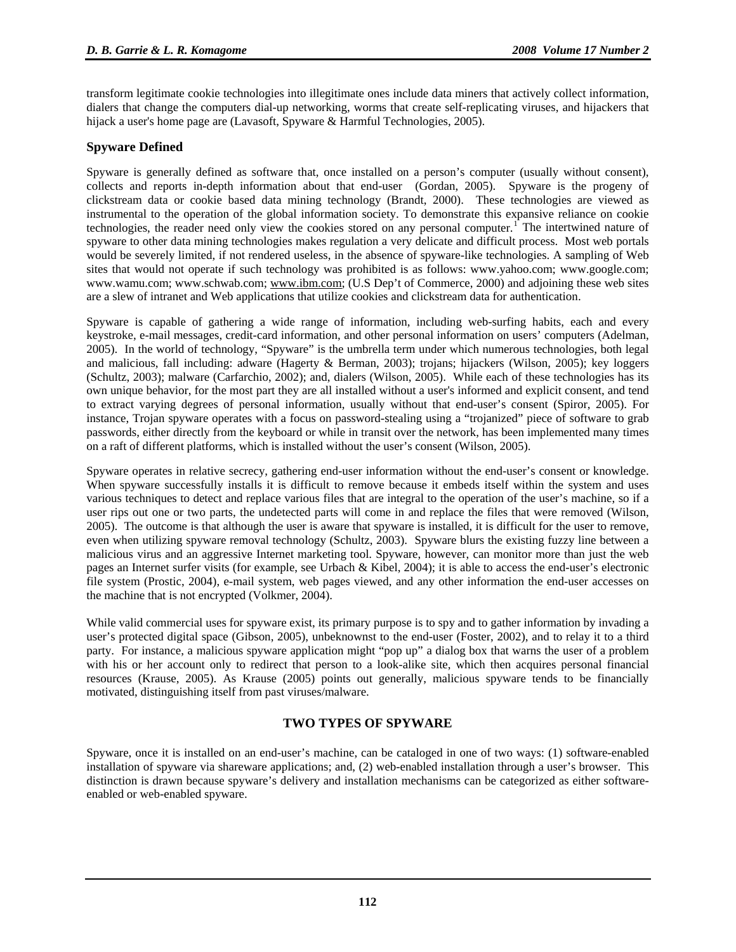transform legitimate cookie technologies into illegitimate ones include data miners that actively collect information, dialers that change the computers dial-up networking, worms that create self-replicating viruses, and hijackers that hijack a user's home page are (Lavasoft, Spyware & Harmful Technologies, 2005).

#### **Spyware Defined**

Spyware is generally defined as software that, once installed on a person's computer (usually without consent), collects and reports in-depth information about that end-user (Gordan, 2005). Spyware is the progeny of clickstream data or cookie based data mining technology (Brandt, 2000). These technologies are viewed as instrumental to the operation of the global information society. To demonstrate this expansive reliance on cookie technologies, the reader need only view the cookies stored on any personal computer.<sup>[1](#page-10-0)</sup> The intertwined nature of spyware to other data mining technologies makes regulation a very delicate and difficult process. Most web portals would be severely limited, if not rendered useless, in the absence of spyware-like technologies. A sampling of Web sites that would not operate if such technology was prohibited is as follows: www.yahoo.com; www.google.com; www.wamu.com; www.schwab.com; [www.ibm.com;](http://www.ibm.com/) (U.S Dep't of Commerce, 2000) and adjoining these web sites are a slew of intranet and Web applications that utilize cookies and clickstream data for authentication.

Spyware is capable of gathering a wide range of information, including web-surfing habits, each and every keystroke, e-mail messages, credit-card information, and other personal information on users' computers (Adelman, 2005). In the world of technology, "Spyware" is the umbrella term under which numerous technologies, both legal and malicious, fall including: adware (Hagerty & Berman, 2003); trojans; hijackers (Wilson, 2005); key loggers (Schultz, 2003); malware (Carfarchio, 2002); and, dialers (Wilson, 2005). While each of these technologies has its own unique behavior, for the most part they are all installed without a user's informed and explicit consent, and tend to extract varying degrees of personal information, usually without that end-user's consent (Spiror, 2005). For instance, Trojan spyware operates with a focus on password-stealing using a "trojanized" piece of software to grab passwords, either directly from the keyboard or while in transit over the network, has been implemented many times on a raft of different platforms, which is installed without the user's consent (Wilson, 2005).

Spyware operates in relative secrecy, gathering end-user information without the end-user's consent or knowledge. When spyware successfully installs it is difficult to remove because it embeds itself within the system and uses various techniques to detect and replace various files that are integral to the operation of the user's machine, so if a user rips out one or two parts, the undetected parts will come in and replace the files that were removed (Wilson, 2005). The outcome is that although the user is aware that spyware is installed, it is difficult for the user to remove, even when utilizing spyware removal technology (Schultz, 2003). Spyware blurs the existing fuzzy line between a malicious virus and an aggressive Internet marketing tool. Spyware, however, can monitor more than just the web pages an Internet surfer visits (for example, see Urbach & Kibel, 2004); it is able to access the end-user's electronic file system (Prostic, 2004), e-mail system, web pages viewed, and any other information the end-user accesses on the machine that is not encrypted (Volkmer, 2004).

While valid commercial uses for spyware exist, its primary purpose is to spy and to gather information by invading a user's protected digital space (Gibson, 2005), unbeknownst to the end-user (Foster, 2002), and to relay it to a third party. For instance, a malicious spyware application might "pop up" a dialog box that warns the user of a problem with his or her account only to redirect that person to a look-alike site, which then acquires personal financial resources (Krause, 2005). As Krause (2005) points out generally, malicious spyware tends to be financially motivated, distinguishing itself from past viruses/malware.

## **TWO TYPES OF SPYWARE**

Spyware, once it is installed on an end-user's machine, can be cataloged in one of two ways: (1) software-enabled installation of spyware via shareware applications; and, (2) web-enabled installation through a user's browser. This distinction is drawn because spyware's delivery and installation mechanisms can be categorized as either softwareenabled or web-enabled spyware.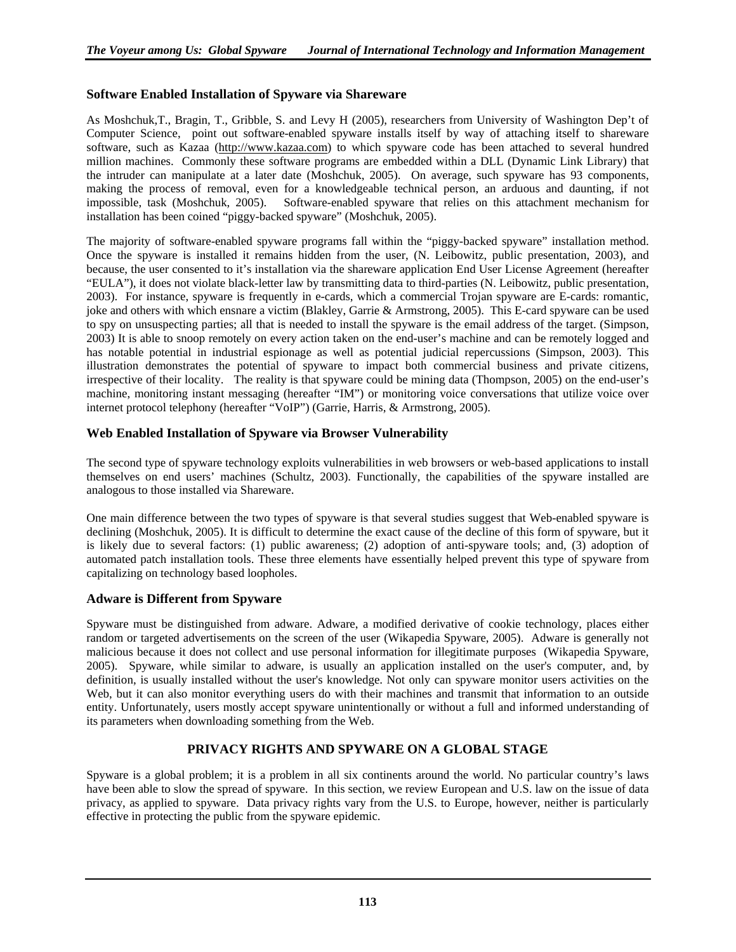#### **Software Enabled Installation of Spyware via Shareware**

As Moshchuk,T., Bragin, T., Gribble, S. and Levy H (2005), researchers from University of Washington Dep't of Computer Science, point out software-enabled spyware installs itself by way of attaching itself to shareware software, such as Kazaa [\(http://www.kazaa.com\)](http://www.kazaa.com/) to which spyware code has been attached to several hundred million machines. Commonly these software programs are embedded within a DLL (Dynamic Link Library) that the intruder can manipulate at a later date (Moshchuk, 2005). On average, such spyware has 93 components, making the process of removal, even for a knowledgeable technical person, an arduous and daunting, if not impossible, task (Moshchuk, 2005). Software-enabled spyware that relies on this attachment mechanism for installation has been coined "piggy-backed spyware" (Moshchuk, 2005).

The majority of software-enabled spyware programs fall within the "piggy-backed spyware" installation method. Once the spyware is installed it remains hidden from the user, (N. Leibowitz, public presentation, 2003), and because, the user consented to it's installation via the shareware application End User License Agreement (hereafter "EULA"), it does not violate black-letter law by transmitting data to third-parties (N. Leibowitz, public presentation, 2003). For instance, spyware is frequently in e-cards, which a commercial Trojan spyware are E-cards: romantic, joke and others with which ensnare a victim (Blakley, Garrie & Armstrong, 2005). This E-card spyware can be used to spy on unsuspecting parties; all that is needed to install the spyware is the email address of the target. (Simpson, 2003) It is able to snoop remotely on every action taken on the end-user's machine and can be remotely logged and has notable potential in industrial espionage as well as potential judicial repercussions (Simpson, 2003). This illustration demonstrates the potential of spyware to impact both commercial business and private citizens, irrespective of their locality. The reality is that spyware could be mining data (Thompson, 2005) on the end-user's machine, monitoring instant messaging (hereafter "IM") or monitoring voice conversations that utilize voice over internet protocol telephony (hereafter "VoIP") (Garrie, Harris, & Armstrong, 2005).

#### **Web Enabled Installation of Spyware via Browser Vulnerability**

The second type of spyware technology exploits vulnerabilities in web browsers or web-based applications to install themselves on end users' machines (Schultz, 2003). Functionally, the capabilities of the spyware installed are analogous to those installed via Shareware.

One main difference between the two types of spyware is that several studies suggest that Web-enabled spyware is declining (Moshchuk, 2005). It is difficult to determine the exact cause of the decline of this form of spyware, but it is likely due to several factors: (1) public awareness; (2) adoption of anti-spyware tools; and, (3) adoption of automated patch installation tools. These three elements have essentially helped prevent this type of spyware from capitalizing on technology based loopholes.

#### **Adware is Different from Spyware**

Spyware must be distinguished from adware. Adware, a modified derivative of cookie technology, places either random or targeted advertisements on the screen of the user (Wikapedia Spyware, 2005). Adware is generally not malicious because it does not collect and use personal information for illegitimate purposes (Wikapedia Spyware, 2005). Spyware, while similar to adware, is usually an application installed on the user's computer, and, by definition, is usually installed without the user's knowledge. Not only can spyware monitor users activities on the Web, but it can also monitor everything users do with their machines and transmit that information to an outside entity. Unfortunately, users mostly accept spyware unintentionally or without a full and informed understanding of its parameters when downloading something from the Web.

#### **PRIVACY RIGHTS AND SPYWARE ON A GLOBAL STAGE**

Spyware is a global problem; it is a problem in all six continents around the world. No particular country's laws have been able to slow the spread of spyware. In this section, we review European and U.S. law on the issue of data privacy, as applied to spyware. Data privacy rights vary from the U.S. to Europe, however, neither is particularly effective in protecting the public from the spyware epidemic.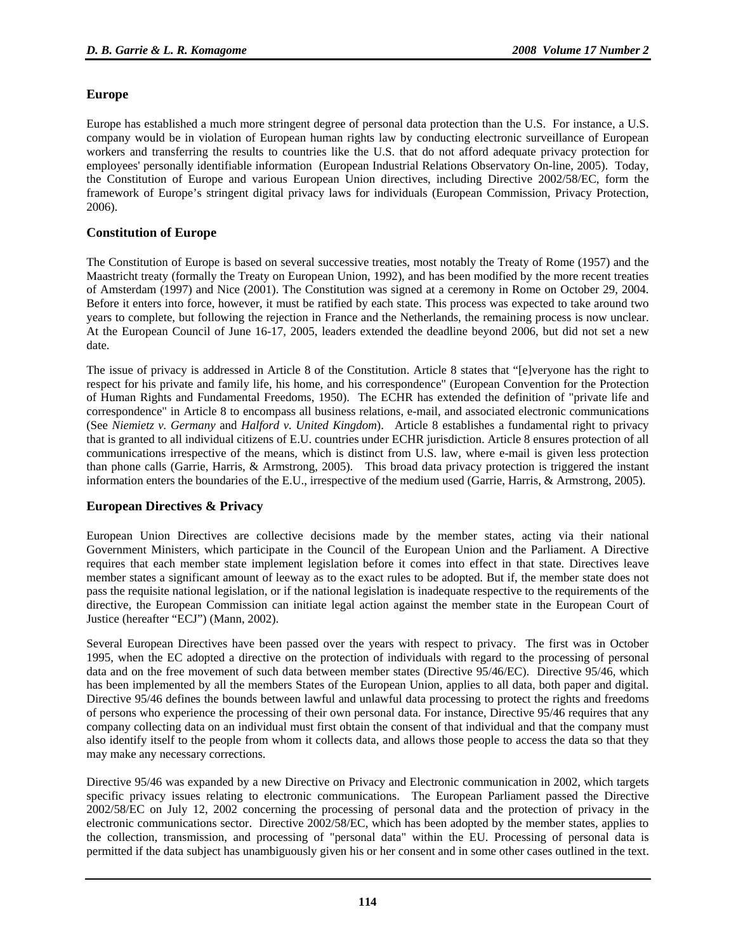#### **Europe**

Europe has established a much more stringent degree of personal data protection than the U.S. For instance, a U.S. company would be in violation of European human rights law by conducting electronic surveillance of European workers and transferring the results to countries like the U.S. that do not afford adequate privacy protection for employees' personally identifiable information (European Industrial Relations Observatory On-line, 2005). Today, the Constitution of Europe and various European Union directives, including Directive 2002/58/EC, form the framework of Europe's stringent digital privacy laws for individuals (European Commission, Privacy Protection, 2006).

#### **Constitution of Europe**

The Constitution of Europe is based on several successive treaties, most notably the Treaty of Rome (1957) and the Maastricht treaty (formally the Treaty on European Union, 1992), and has been modified by the more recent treaties of Amsterdam (1997) and Nice (2001). The Constitution was signed at a ceremony in Rome on October 29, 2004. Before it enters into force, however, it must be ratified by each state. This process was expected to take around two years to complete, but following the rejection in France and the Netherlands, the remaining process is now unclear. At the European Council of June 16-17, 2005, leaders extended the deadline beyond 2006, but did not set a new date.

The issue of privacy is addressed in Article 8 of the Constitution. Article 8 states that "[e]veryone has the right to respect for his private and family life, his home, and his correspondence" (European Convention for the Protection of Human Rights and Fundamental Freedoms, 1950). The ECHR has extended the definition of "private life and correspondence" in Article 8 to encompass all business relations, e-mail, and associated electronic communications (See *Niemietz v. Germany* and *Halford v. United Kingdom*). Article 8 establishes a fundamental right to privacy that is granted to all individual citizens of E.U. countries under ECHR jurisdiction. Article 8 ensures protection of all communications irrespective of the means, which is distinct from U.S. law, where e-mail is given less protection than phone calls (Garrie, Harris, & Armstrong, 2005). This broad data privacy protection is triggered the instant information enters the boundaries of the E.U., irrespective of the medium used (Garrie, Harris, & Armstrong, 2005).

#### **European Directives & Privacy**

European Union Directives are collective decisions made by the member states, acting via their national Government Ministers, which participate in the Council of the European Union and the Parliament. A Directive requires that each member state implement legislation before it comes into effect in that state. Directives leave member states a significant amount of leeway as to the exact rules to be adopted. But if, the member state does not pass the requisite national legislation, or if the national legislation is inadequate respective to the requirements of the directive, the European Commission can initiate legal action against the member state in the European Court of Justice (hereafter "ECJ") (Mann, 2002).

Several European Directives have been passed over the years with respect to privacy. The first was in October 1995, when the EC adopted a directive on the protection of individuals with regard to the processing of personal data and on the free movement of such data between member states (Directive 95/46/EC). Directive 95/46, which has been implemented by all the members States of the European Union, applies to all data, both paper and digital. Directive 95/46 defines the bounds between lawful and unlawful data processing to protect the rights and freedoms of persons who experience the processing of their own personal data. For instance, Directive 95/46 requires that any company collecting data on an individual must first obtain the consent of that individual and that the company must also identify itself to the people from whom it collects data, and allows those people to access the data so that they may make any necessary corrections.

Directive 95/46 was expanded by a new Directive on Privacy and Electronic communication in 2002, which targets specific privacy issues relating to electronic communications. The European Parliament passed the Directive 2002/58/EC on July 12, 2002 concerning the processing of personal data and the protection of privacy in the electronic communications sector. Directive 2002/58/EC, which has been adopted by the member states, applies to the collection, transmission, and processing of "personal data" within the EU. Processing of personal data is permitted if the data subject has unambiguously given his or her consent and in some other cases outlined in the text.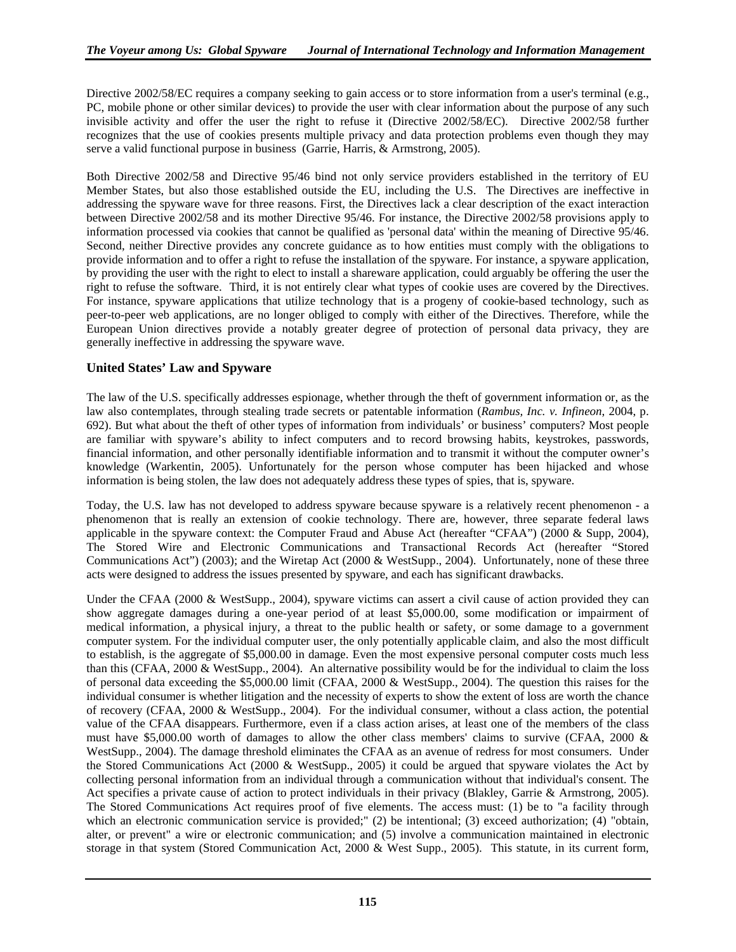Directive 2002/58/EC requires a company seeking to gain access or to store information from a user's terminal (e.g., PC, mobile phone or other similar devices) to provide the user with clear information about the purpose of any such invisible activity and offer the user the right to refuse it (Directive 2002/58/EC). Directive 2002/58 further recognizes that the use of cookies presents multiple privacy and data protection problems even though they may serve a valid functional purpose in business (Garrie, Harris, & Armstrong, 2005).

Both Directive 2002/58 and Directive 95/46 bind not only service providers established in the territory of EU Member States, but also those established outside the EU, including the U.S. The Directives are ineffective in addressing the spyware wave for three reasons. First, the Directives lack a clear description of the exact interaction between Directive 2002/58 and its mother Directive 95/46. For instance, the Directive 2002/58 provisions apply to information processed via cookies that cannot be qualified as 'personal data' within the meaning of Directive 95/46. Second, neither Directive provides any concrete guidance as to how entities must comply with the obligations to provide information and to offer a right to refuse the installation of the spyware. For instance, a spyware application, by providing the user with the right to elect to install a shareware application, could arguably be offering the user the right to refuse the software. Third, it is not entirely clear what types of cookie uses are covered by the Directives. For instance, spyware applications that utilize technology that is a progeny of cookie-based technology, such as peer-to-peer web applications, are no longer obliged to comply with either of the Directives. Therefore, while the European Union directives provide a notably greater degree of protection of personal data privacy, they are generally ineffective in addressing the spyware wave.

#### **United States' Law and Spyware**

The law of the U.S. specifically addresses espionage, whether through the theft of government information or, as the law also contemplates, through stealing trade secrets or patentable information (*Rambus, Inc. v. Infineon*, 2004, p. 692). But what about the theft of other types of information from individuals' or business' computers? Most people are familiar with spyware's ability to infect computers and to record browsing habits, keystrokes, passwords, financial information, and other personally identifiable information and to transmit it without the computer owner's knowledge (Warkentin, 2005). Unfortunately for the person whose computer has been hijacked and whose information is being stolen, the law does not adequately address these types of spies, that is, spyware.

Today, the U.S. law has not developed to address spyware because spyware is a relatively recent phenomenon - a phenomenon that is really an extension of cookie technology. There are, however, three separate federal laws applicable in the spyware context: the Computer Fraud and Abuse Act (hereafter "CFAA") (2000 & Supp, 2004), The Stored Wire and Electronic Communications and Transactional Records Act (hereafter "Stored Communications Act") (2003); and the Wiretap Act (2000 & WestSupp., 2004). Unfortunately, none of these three acts were designed to address the issues presented by spyware, and each has significant drawbacks.

Under the CFAA (2000 & WestSupp., 2004), spyware victims can assert a civil cause of action provided they can show aggregate damages during a one-year period of at least \$5,000.00, some modification or impairment of medical information, a physical injury, a threat to the public health or safety, or some damage to a government computer system. For the individual computer user, the only potentially applicable claim, and also the most difficult to establish, is the aggregate of \$5,000.00 in damage. Even the most expensive personal computer costs much less than this (CFAA, 2000 & WestSupp., 2004). An alternative possibility would be for the individual to claim the loss of personal data exceeding the \$5,000.00 limit (CFAA, 2000 & WestSupp., 2004). The question this raises for the individual consumer is whether litigation and the necessity of experts to show the extent of loss are worth the chance of recovery (CFAA, 2000 & WestSupp., 2004). For the individual consumer, without a class action, the potential value of the CFAA disappears. Furthermore, even if a class action arises, at least one of the members of the class must have \$5,000.00 worth of damages to allow the other class members' claims to survive (CFAA, 2000  $\&$ WestSupp., 2004). The damage threshold eliminates the CFAA as an avenue of redress for most consumers. Under the Stored Communications Act (2000 & WestSupp., 2005) it could be argued that spyware violates the Act by collecting personal information from an individual through a communication without that individual's consent. The Act specifies a private cause of action to protect individuals in their privacy (Blakley, Garrie & Armstrong, 2005). The Stored Communications Act requires proof of five elements. The access must: (1) be to "a facility through which an electronic communication service is provided;" (2) be intentional; (3) exceed authorization; (4) "obtain, alter, or prevent" a wire or electronic communication; and (5) involve a communication maintained in electronic storage in that system (Stored Communication Act, 2000 & West Supp., 2005). This statute, in its current form,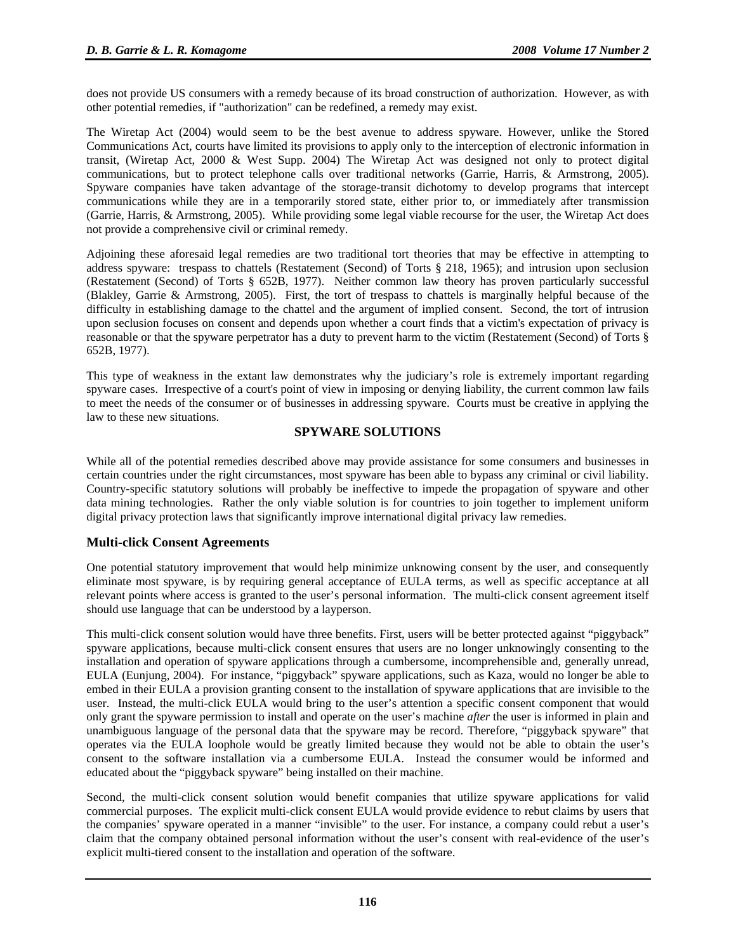does not provide US consumers with a remedy because of its broad construction of authorization. However, as with other potential remedies, if "authorization" can be redefined, a remedy may exist.

The Wiretap Act (2004) would seem to be the best avenue to address spyware. However, unlike the Stored Communications Act, courts have limited its provisions to apply only to the interception of electronic information in transit, (Wiretap Act, 2000 & West Supp. 2004) The Wiretap Act was designed not only to protect digital communications, but to protect telephone calls over traditional networks (Garrie, Harris, & Armstrong, 2005). Spyware companies have taken advantage of the storage-transit dichotomy to develop programs that intercept communications while they are in a temporarily stored state, either prior to, or immediately after transmission (Garrie, Harris, & Armstrong, 2005). While providing some legal viable recourse for the user, the Wiretap Act does not provide a comprehensive civil or criminal remedy.

Adjoining these aforesaid legal remedies are two traditional tort theories that may be effective in attempting to address spyware: trespass to chattels (Restatement (Second) of Torts § 218, 1965); and intrusion upon seclusion (Restatement (Second) of Torts § 652B, 1977). Neither common law theory has proven particularly successful (Blakley, Garrie & Armstrong, 2005). First, the tort of trespass to chattels is marginally helpful because of the difficulty in establishing damage to the chattel and the argument of implied consent. Second, the tort of intrusion upon seclusion focuses on consent and depends upon whether a court finds that a victim's expectation of privacy is reasonable or that the spyware perpetrator has a duty to prevent harm to the victim (Restatement (Second) of Torts § 652B, 1977).

This type of weakness in the extant law demonstrates why the judiciary's role is extremely important regarding spyware cases. Irrespective of a court's point of view in imposing or denying liability, the current common law fails to meet the needs of the consumer or of businesses in addressing spyware. Courts must be creative in applying the law to these new situations.

#### **SPYWARE SOLUTIONS**

While all of the potential remedies described above may provide assistance for some consumers and businesses in certain countries under the right circumstances, most spyware has been able to bypass any criminal or civil liability. Country-specific statutory solutions will probably be ineffective to impede the propagation of spyware and other data mining technologies. Rather the only viable solution is for countries to join together to implement uniform digital privacy protection laws that significantly improve international digital privacy law remedies.

#### **Multi-click Consent Agreements**

One potential statutory improvement that would help minimize unknowing consent by the user, and consequently eliminate most spyware, is by requiring general acceptance of EULA terms, as well as specific acceptance at all relevant points where access is granted to the user's personal information. The multi-click consent agreement itself should use language that can be understood by a layperson.

This multi-click consent solution would have three benefits. First, users will be better protected against "piggyback" spyware applications, because multi-click consent ensures that users are no longer unknowingly consenting to the installation and operation of spyware applications through a cumbersome, incomprehensible and, generally unread, EULA (Eunjung, 2004). For instance, "piggyback" spyware applications, such as Kaza, would no longer be able to embed in their EULA a provision granting consent to the installation of spyware applications that are invisible to the user. Instead, the multi-click EULA would bring to the user's attention a specific consent component that would only grant the spyware permission to install and operate on the user's machine *after* the user is informed in plain and unambiguous language of the personal data that the spyware may be record. Therefore, "piggyback spyware" that operates via the EULA loophole would be greatly limited because they would not be able to obtain the user's consent to the software installation via a cumbersome EULA. Instead the consumer would be informed and educated about the "piggyback spyware" being installed on their machine.

Second, the multi-click consent solution would benefit companies that utilize spyware applications for valid commercial purposes. The explicit multi-click consent EULA would provide evidence to rebut claims by users that the companies' spyware operated in a manner "invisible" to the user. For instance, a company could rebut a user's claim that the company obtained personal information without the user's consent with real-evidence of the user's explicit multi-tiered consent to the installation and operation of the software.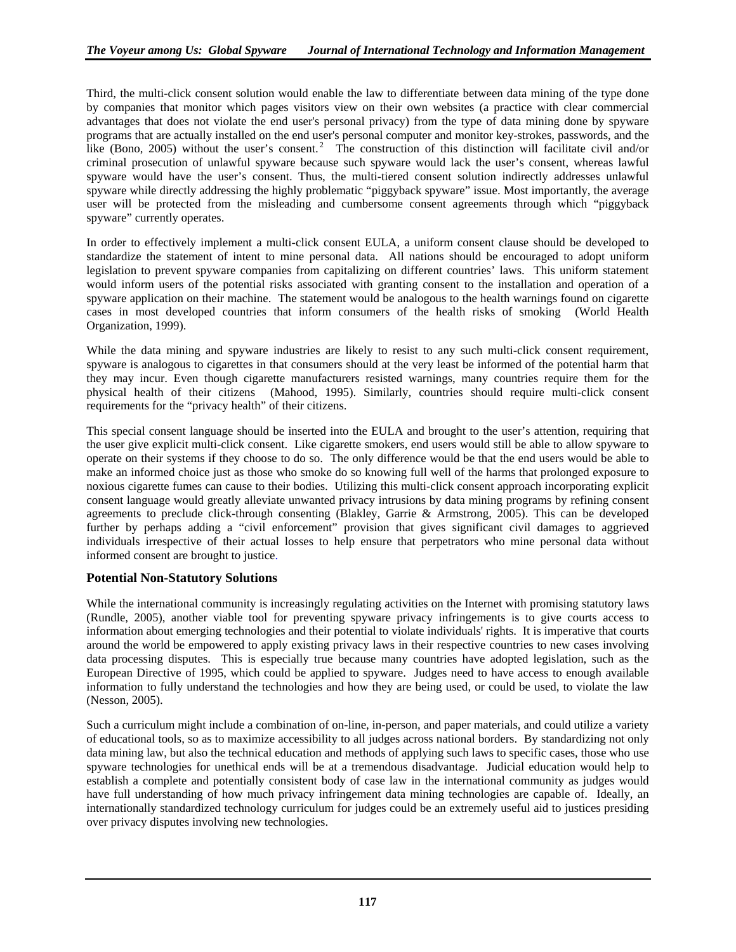Third, the multi-click consent solution would enable the law to differentiate between data mining of the type done by companies that monitor which pages visitors view on their own websites (a practice with clear commercial advantages that does not violate the end user's personal privacy) from the type of data mining done by spyware programs that are actually installed on the end user's personal computer and monitor key-strokes, passwords, and the like (Bono, [2](#page-10-1)005) without the user's consent.<sup>2</sup> The construction of this distinction will facilitate civil and/or criminal prosecution of unlawful spyware because such spyware would lack the user's consent, whereas lawful spyware would have the user's consent. Thus, the multi-tiered consent solution indirectly addresses unlawful spyware while directly addressing the highly problematic "piggyback spyware" issue. Most importantly, the average user will be protected from the misleading and cumbersome consent agreements through which "piggyback spyware" currently operates.

In order to effectively implement a multi-click consent EULA, a uniform consent clause should be developed to standardize the statement of intent to mine personal data. All nations should be encouraged to adopt uniform legislation to prevent spyware companies from capitalizing on different countries' laws. This uniform statement would inform users of the potential risks associated with granting consent to the installation and operation of a spyware application on their machine. The statement would be analogous to the health warnings found on cigarette cases in most developed countries that inform consumers of the health risks of smoking (World Health Organization, 1999).

While the data mining and spyware industries are likely to resist to any such multi-click consent requirement, spyware is analogous to cigarettes in that consumers should at the very least be informed of the potential harm that they may incur. Even though cigarette manufacturers resisted warnings, many countries require them for the physical health of their citizens (Mahood, 1995). Similarly, countries should require multi-click consent requirements for the "privacy health" of their citizens.

This special consent language should be inserted into the EULA and brought to the user's attention, requiring that the user give explicit multi-click consent. Like cigarette smokers, end users would still be able to allow spyware to operate on their systems if they choose to do so. The only difference would be that the end users would be able to make an informed choice just as those who smoke do so knowing full well of the harms that prolonged exposure to noxious cigarette fumes can cause to their bodies. Utilizing this multi-click consent approach incorporating explicit consent language would greatly alleviate unwanted privacy intrusions by data mining programs by refining consent agreements to preclude click-through consenting (Blakley, Garrie & Armstrong, 2005). This can be developed further by perhaps adding a "civil enforcement" provision that gives significant civil damages to aggrieved individuals irrespective of their actual losses to help ensure that perpetrators who mine personal data without informed consent are brought to justice.

## **Potential Non-Statutory Solutions**

While the international community is increasingly regulating activities on the Internet with promising statutory laws (Rundle, 2005), another viable tool for preventing spyware privacy infringements is to give courts access to information about emerging technologies and their potential to violate individuals' rights. It is imperative that courts around the world be empowered to apply existing privacy laws in their respective countries to new cases involving data processing disputes. This is especially true because many countries have adopted legislation, such as the European Directive of 1995, which could be applied to spyware. Judges need to have access to enough available information to fully understand the technologies and how they are being used, or could be used, to violate the law (Nesson, 2005).

Such a curriculum might include a combination of on-line, in-person, and paper materials, and could utilize a variety of educational tools, so as to maximize accessibility to all judges across national borders. By standardizing not only data mining law, but also the technical education and methods of applying such laws to specific cases, those who use spyware technologies for unethical ends will be at a tremendous disadvantage. Judicial education would help to establish a complete and potentially consistent body of case law in the international community as judges would have full understanding of how much privacy infringement data mining technologies are capable of. Ideally, an internationally standardized technology curriculum for judges could be an extremely useful aid to justices presiding over privacy disputes involving new technologies.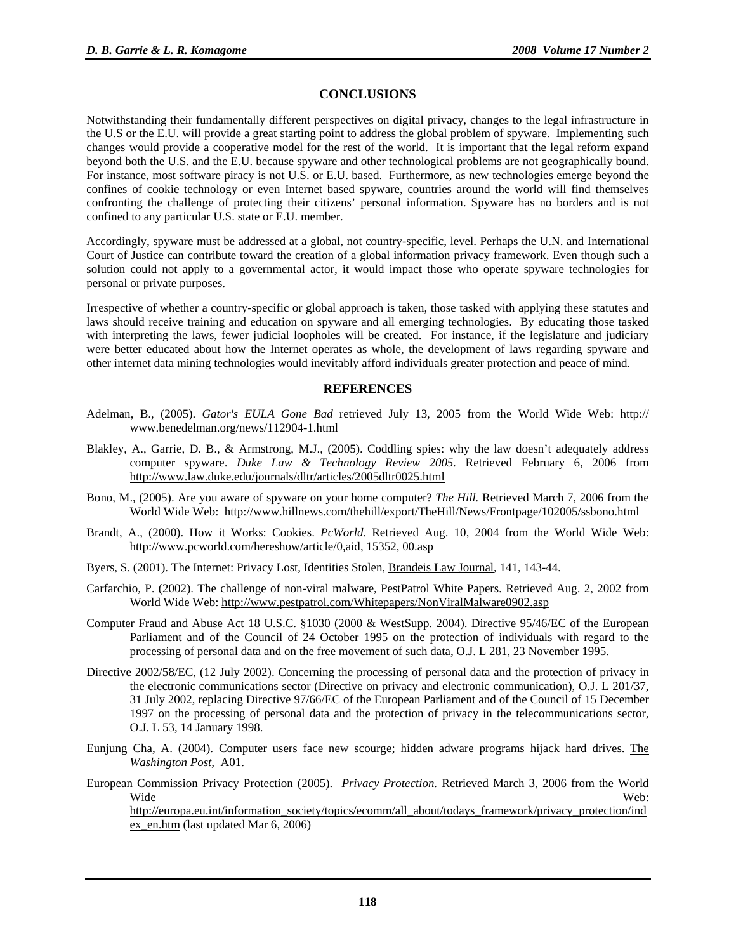#### **CONCLUSIONS**

Notwithstanding their fundamentally different perspectives on digital privacy, changes to the legal infrastructure in the U.S or the E.U. will provide a great starting point to address the global problem of spyware. Implementing such changes would provide a cooperative model for the rest of the world. It is important that the legal reform expand beyond both the U.S. and the E.U. because spyware and other technological problems are not geographically bound. For instance, most software piracy is not U.S. or E.U. based. Furthermore, as new technologies emerge beyond the confines of cookie technology or even Internet based spyware, countries around the world will find themselves confronting the challenge of protecting their citizens' personal information. Spyware has no borders and is not confined to any particular U.S. state or E.U. member.

Accordingly, spyware must be addressed at a global, not country-specific, level. Perhaps the U.N. and International Court of Justice can contribute toward the creation of a global information privacy framework. Even though such a solution could not apply to a governmental actor, it would impact those who operate spyware technologies for personal or private purposes.

Irrespective of whether a country-specific or global approach is taken, those tasked with applying these statutes and laws should receive training and education on spyware and all emerging technologies. By educating those tasked with interpreting the laws, fewer judicial loopholes will be created. For instance, if the legislature and judiciary were better educated about how the Internet operates as whole, the development of laws regarding spyware and other internet data mining technologies would inevitably afford individuals greater protection and peace of mind.

#### **REFERENCES**

- Adelman, B., (2005). *Gator's EULA Gone Bad* retrieved July 13, 2005 from the World Wide Web: http:// www.benedelman.org/news/112904-1.html
- Blakley, A., Garrie, D. B., & Armstrong, M.J., (2005). Coddling spies: why the law doesn't adequately address computer spyware. *Duke Law & Technology Review 2005.* Retrieved February 6, 2006 from <http://www.law.duke.edu/journals/dltr/articles/2005dltr0025.html>
- Bono, M., (2005). Are you aware of spyware on your home computer? *The Hill.* Retrieved March 7, 2006 from the World Wide Web: <http://www.hillnews.com/thehill/export/TheHill/News/Frontpage/102005/ssbono.html>
- Brandt, A., (2000). How it Works: Cookies. *PcWorld.* Retrieved Aug. 10, 2004 from the World Wide Web: http://www.pcworld.com/hereshow/article/0,aid, 15352, 00.asp
- Byers, S. (2001). The Internet: Privacy Lost, Identities Stolen, Brandeis Law Journal, 141, 143-44.
- Carfarchio, P. (2002). The challenge of non-viral malware, PestPatrol White Papers. Retrieved Aug. 2, 2002 from World Wide Web:<http://www.pestpatrol.com/Whitepapers/NonViralMalware0902.asp>
- Computer Fraud and Abuse Act 18 U.S.C. §1030 (2000 & WestSupp. 2004). Directive 95/46/EC of the European Parliament and of the Council of 24 October 1995 on the protection of individuals with regard to the processing of personal data and on the free movement of such data, O.J. L 281, 23 November 1995.
- Directive 2002/58/EC, (12 July 2002). Concerning the processing of personal data and the protection of privacy in the electronic communications sector (Directive on privacy and electronic communication), O.J. L 201/37, 31 July 2002, replacing Directive 97/66/EC of the European Parliament and of the Council of 15 December 1997 on the processing of personal data and the protection of privacy in the telecommunications sector, O.J. L 53, 14 January 1998.
- Eunjung Cha, A. (2004). Computer users face new scourge; hidden adware programs hijack hard drives. The *Washington Post,* A01.
- European Commission Privacy Protection (2005). *Privacy Protection.* Retrieved March 3, 2006 from the World Wide Web:  $\qquad$

[http://europa.eu.int/information\\_society/topics/ecomm/all\\_about/todays\\_framework/privacy\\_protection/ind](http://europa.eu.int/information_society/topics/ecomm/all_about/todays_framework/privacy_protection/index_en.htm) ex en.htm (last updated Mar 6, 2006)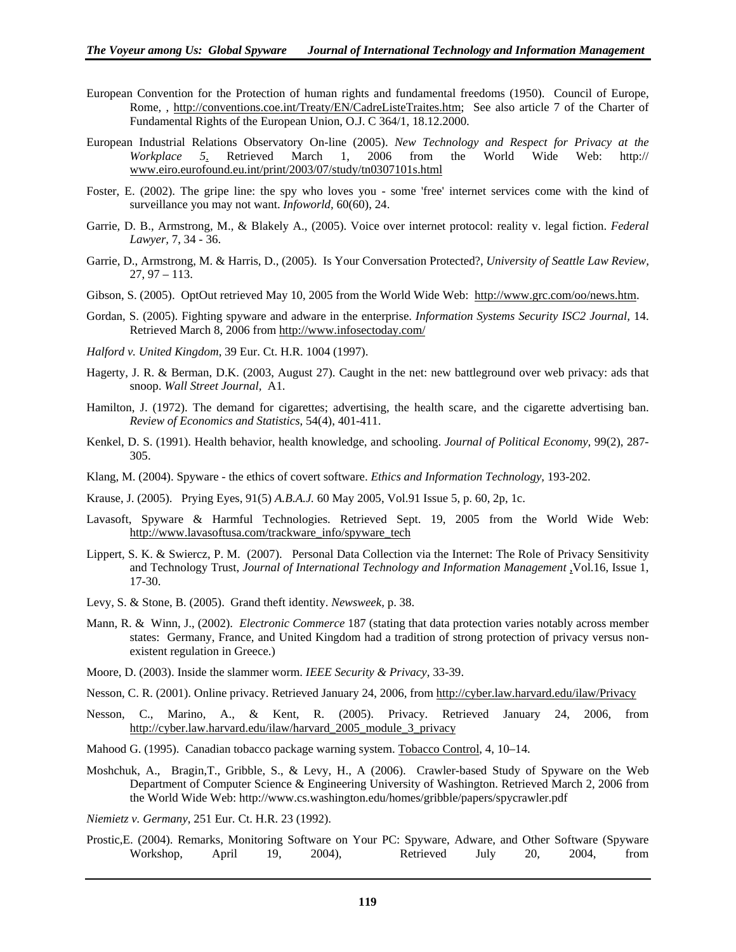- European Convention for the Protection of human rights and fundamental freedoms (1950). Council of Europe, Rome, , [http://conventions.coe.int/Treaty/EN/CadreListeTraites.htm;](http://conventions.coe.int/Treaty/EN/CadreListeTraites.htm) See also article 7 of the Charter of Fundamental Rights of the European Union, O.J. C 364/1, 18.12.2000.
- European Industrial Relations Observatory On-line (2005). *New Technology and Respect for Privacy at the Workplace 5*. Retrieved March 1, 2006 from the World Wide Web: http:// [www.eiro.eurofound.eu.int/print/2003/07/study/tn0307101s.html](http://www.eiro.eurofound.eu.int/print/2003/07/study/tn0307101s.html)
- Foster, E. (2002). The gripe line: the spy who loves you some 'free' internet services come with the kind of surveillance you may not want. *Infoworld,* 60(60), 24.
- Garrie, D. B., Armstrong, M., & Blakely A., (2005). Voice over internet protocol: reality v. legal fiction. *Federal Lawyer,* 7, 34 - 36.
- Garrie, D., Armstrong, M. & Harris, D., (2005). Is Your Conversation Protected?, *University of Seattle Law Review,* 27, 97 – 113.
- Gibson, S. (2005). OptOut retrieved May 10, 2005 from the World Wide Web: [http://www.grc.com/oo/news.htm.](http://www.grc.com/oo/news.htm)
- Gordan, S. (2005). Fighting spyware and adware in the enterprise. *Information Systems Security ISC2 Journal,* 14. Retrieved March 8, 2006 from<http://www.infosectoday.com/>
- *Halford v. United Kingdom*, 39 Eur. Ct. H.R. 1004 (1997).
- Hagerty, J. R. & Berman, D.K. (2003, August 27). Caught in the net: new battleground over web privacy: ads that snoop. *Wall Street Journal,* A1.
- Hamilton, J. (1972). The demand for cigarettes; advertising, the health scare, and the cigarette advertising ban. *Review of Economics and Statistics*, 54(4), 401-411.
- Kenkel, D. S. (1991). Health behavior, health knowledge, and schooling. *Journal of Political Economy,* 99(2), 287- 305.
- Klang, M. (2004). Spyware the ethics of covert software. *Ethics and Information Technology,* 193-202.
- Krause, J. (2005). Prying Eyes, 91(5) *A.B.A.J.* 60 May 2005, Vol.91 Issue 5, p. 60, 2p, 1c.
- Lavasoft, Spyware & Harmful Technologies. Retrieved Sept. 19, 2005 from the World Wide Web: http://www.lavasoftusa.com/trackware\_info/spyware\_tech
- Lippert, S. K. & Swiercz, P. M. (2007). Personal Data Collection via the Internet: The Role of Privacy Sensitivity and Technology Trust, *Journal of International Technology and Information Management* <sub>2</sub>Vol.16, Issue 1, 17-30.
- Levy, S. & Stone, B. (2005). Grand theft identity. *Newsweek,* p. 38.
- Mann, R. & Winn, J., (2002). *Electronic Commerce* 187 (stating that data protection varies notably across member states: Germany, France, and United Kingdom had a tradition of strong protection of privacy versus nonexistent regulation in Greece.)
- Moore, D. (2003). Inside the slammer worm. *IEEE Security & Privacy,* 33-39.
- Nesson, C. R. (2001). Online privacy. Retrieved January 24, 2006, from<http://cyber.law.harvard.edu/ilaw/Privacy>
- Nesson, C., Marino, A., & Kent, R. (2005). Privacy. Retrieved January 24, 2006, from [http://cyber.law.harvard.edu/ilaw/harvard\\_2005\\_module\\_3\\_privacy](http://cyber.law.harvard.edu/ilaw/harvard_2005_module_3_privacy)
- Mahood G. (1995). Canadian tobacco package warning system. Tobacco Control, 4, 10–14.
- Moshchuk, A., Bragin,T., Gribble, S., & Levy, H., A (2006). Crawler-based Study of Spyware on the Web Department of Computer Science & Engineering University of Washington. Retrieved March 2, 2006 from the World Wide Web: http://www.cs.washington.edu/homes/gribble/papers/spycrawler.pdf
- *Niemietz v. Germany*, 251 Eur. Ct. H.R. 23 (1992).
- Prostic,E. (2004). Remarks, Monitoring Software on Your PC: Spyware, Adware, and Other Software (Spyware Workshop, April 19, 2004), Retrieved July 20, 2004, from